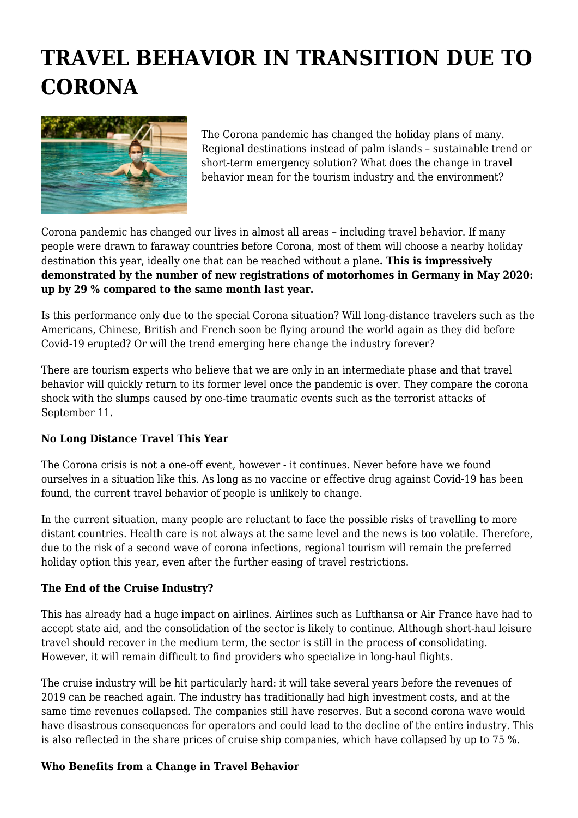# **TRAVEL BEHAVIOR IN TRANSITION DUE TO CORONA**



The Corona pandemic has changed the holiday plans of many. Regional destinations instead of palm islands – sustainable trend or short-term emergency solution? What does the change in travel behavior mean for the tourism industry and the environment?

Corona pandemic has changed our lives in almost all areas – including travel behavior. If many people were drawn to faraway countries before Corona, most of them will choose a nearby holiday destination this year, ideally one that can be reached without a plane**. This is impressively demonstrated by the number of new registrations of motorhomes in Germany in May 2020: up by 29 % compared to the same month last year.**

Is this performance only due to the special Corona situation? Will long-distance travelers such as the Americans, Chinese, British and French soon be flying around the world again as they did before Covid-19 erupted? Or will the trend emerging here change the industry forever?

There are tourism experts who believe that we are only in an intermediate phase and that travel behavior will quickly return to its former level once the pandemic is over. They compare the corona shock with the slumps caused by one-time traumatic events such as the terrorist attacks of September 11.

## **No Long Distance Travel This Year**

The Corona crisis is not a one-off event, however - it continues. Never before have we found ourselves in a situation like this. As long as no vaccine or effective drug against Covid-19 has been found, the current travel behavior of people is unlikely to change.

In the current situation, many people are reluctant to face the possible risks of travelling to more distant countries. Health care is not always at the same level and the news is too volatile. Therefore, due to the risk of a second wave of corona infections, regional tourism will remain the preferred holiday option this year, even after the further easing of travel restrictions.

## **The End of the Cruise Industry?**

This has already had a huge impact on airlines. Airlines such as Lufthansa or Air France have had to accept state aid, and the consolidation of the sector is likely to continue. Although short-haul leisure travel should recover in the medium term, the sector is still in the process of consolidating. However, it will remain difficult to find providers who specialize in long-haul flights.

The cruise industry will be hit particularly hard: it will take several years before the revenues of 2019 can be reached again. The industry has traditionally had high investment costs, and at the same time revenues collapsed. The companies still have reserves. But a second corona wave would have disastrous consequences for operators and could lead to the decline of the entire industry. This is also reflected in the share prices of cruise ship companies, which have collapsed by up to 75 %.

## **Who Benefits from a Change in Travel Behavior**